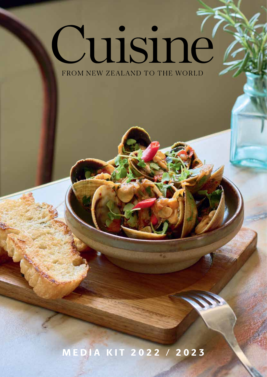# Cuisiné FROM NEW ZEALAND TO THE WORLD

MEDIA KIT 2022 / 2023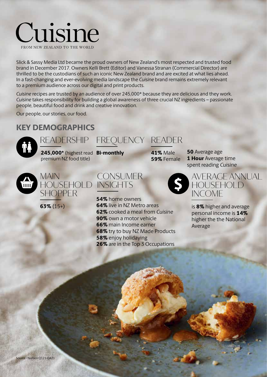

Slick & Sassy Media Ltd became the proud owners of New Zealand's most respected and trusted food brand in December 2017. Owners Kelli Brett (Editor) and Vanessa Stranan (Commercial Director) are thrilled to be the custodians of such an iconic New Zealand brand and are excited at what lies ahead. In a fast-changing and ever-evolving media landscape the *Cuisine* brand remains extremely relevant to a premium audience across our digital and print products.

*Cuisine* recipes are trusted by an audience of over 245,000\* because they are delicious and they work. *Cuisine* takes responsibility for building a global awareness of three crucial NZ ingredients – passionate people, beautiful food and drink and creative innovation.

Our people, our stories, our food.

#### KEY DEMOGRAPHICS



## READERSHIP FREQUENCY READER

245,000\* (highest read **Bi-monthly 41%** Male premium NZ food title)



MAIN HOUSEHOLD SHOPPER

63% (15+)



54% home owners 64% live in NZ Metro areas 62% cooked a meal from Cuisine 90% own a motor vehicle 66% main Income earner 68% try to buy NZ Made Products 58% enjoy holidaying 26% are in the Top 3 Occupations

\$ 59% Female 1 Hour Average time spent reading Cuisine



**50** Average age

is 8% higher and average personal income is 14% higher the the National Average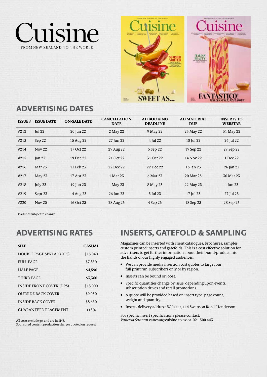



#### ADVERTISING DATES

| <b>ISSUE</b> $#$ | <b>ISSUE DATE</b> | <b>ON-SALE DATE</b> | <b>CANCELLATION</b><br><b>DATE</b> | <b>AD BOOKING</b><br><b>DEADLINE</b> | <b>AD MATERIAL</b><br><b>DUE</b> | <b>INSERTS TO</b><br><b>WEBSTAR</b> |
|------------------|-------------------|---------------------|------------------------------------|--------------------------------------|----------------------------------|-------------------------------------|
| #212             | $\lceil$ ul 22    | 20 Jun 22           | 2 May 22                           | 9 May 22                             | 23 May 22                        | 31 May 22                           |
| #213             | Sep 22            | 15 Aug 22           | 27 Jun 22                          | 4 Jul 22                             | 18 Jul 22                        | 26 Jul 22                           |
| #214             | Nov <sub>22</sub> | 17 Oct 22           | 29 Aug 22                          | 5 Sep 22                             | 19 Sep 22                        | 27 Sep 22                           |
| #215             | $\tan 23$         | 19 Dec 22           | 21 Oct 22                          | 31 Oct 22                            | 14 Nov 22                        | 1 Dec 22                            |
| #216             | Mar <sub>23</sub> | 13 Feb 23           | 22 Dec 22                          | 22 Dec 22                            | 16 Jan 23                        | 26 Jan 23                           |
| #217             | May $23$          | 17 Apr 23           | 1 Mar 23                           | 6 Mar 23                             | 20 Mar 23                        | 30 Mar 23                           |
| #218             | July 23           | 19 Jun 23           | 1 May 23                           | 8 May 23                             | 22 May 23                        | 1 Jun 23                            |
| #219             | Sept 23           | 14 Aug 23           | 26 Jun 23                          | 3 Jul 23                             | 17 Jul 23                        | 27 Jul 23                           |
| #220             | Nov $23$          | 16 Oct 23           | 28 Aug 23                          | 4 Sep 23                             | 18 Sep 23                        | 28 Sep 23                           |

Deadlines subject to change

| <b>CASUAL</b> |
|---------------|
| \$13,040      |
| \$7,850       |
| \$4,590       |
| \$3,360       |
| \$15.000      |
| \$9.030       |
| \$8,650       |
| $+15%$        |
|               |

All costs exclude gst and are in \$NZ. Sponsored content production charges quoted on request

ADVERTISING RATES INSERTS, GATEFOLD & SAMPLING

Magazines can be inserted with client catalogues, brochures, samples, custom printed inserts and gatefolds. This is a cost effective solution for advertisers to get further information about their brand/product into the hands of our highly engaged audiences.

- We can provide media insertion cost quotes to target our full print run, subscribers only or by region.
- Inserts can be bound or loose.
- Specific quantities change by issue, depending upon events, subscription drives and retail promotions.
- A quote will be provided based on insert type, page count, weight and quantity.
- Inserts delivery address: Webstar, 114 Swanson Road, Henderson.

For specific insert specifications please contact: *Vanessa Stranan* vanessa@cuisine.co.nz or 021 500 443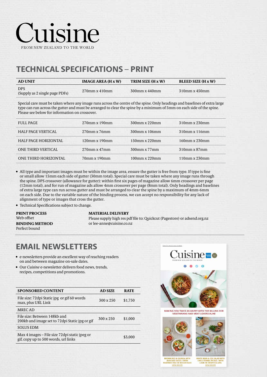# TECHNICAL SPECIFICATIONS – PRINT

| <b>AD UNIT</b>                               | <b>IMAGE AREA (H x W)</b> | TRIM SIZE (H x W) | <b>BLEED SIZE (H x W)</b> |
|----------------------------------------------|---------------------------|-------------------|---------------------------|
| <b>DPS</b><br>(Supply as 2 single page PDFs) | $270$ mm x 410mm          | $300$ mm x 440mm  | $-310$ mm x 450mm         |

Special care must be taken where any image runs across the centre of the spine. Only headings and baselines of extra large type can run across the gutter and must be arranged to clear the spine by a minimum of 5mm on each side of the spine. Please see below for information on crossover.

| <b>FULL PAGE</b>            | $270$ mm x 190mm   | $300$ mm x 220mm    | $310$ mm x $230$ mm |
|-----------------------------|--------------------|---------------------|---------------------|
| <b>HALF PAGE VERTICAL</b>   | $270$ mm x $76$ mm | 300mm x 106mm       | 310mm x 116mm       |
| <b>HALF PAGE HORIZONTAL</b> | 120mm x 190mm      | 150mm x 220mm       | $160$ mm x $230$ mm |
| <b>ONE THIRD VERTICAL</b>   | $270$ mm x 47mm    | $300$ mm x 77mm     | $310$ mm x $87$ mm  |
| ONE THIRD HORIZONTAL        | 70mm x 190mm       | $100$ mm x $220$ mm | $110$ mm x $230$ mm |

• All type and important images must be within the image area, ensure the gutter is free from type. If type is fine or small allow 15mm each side of gutter (30mm total). Special care must be taken where any image runs through the spine. DPS crossover (allowance for gutter): within first six pages of magazine allow 6mm crossover per page (12mm total), and for run of magazine ads allow 4mm crossover per page (8mm total). Only headings and baselines of extra large type can run across gutter and must be arranged to clear the spine by a maximum of 4mm-6mm on each side. Due to the variable nature of the binding process, we can accept no responsibility for any lack of alignment of type or images that cross the gutter.

• Technical Specifications subject to change.

PRINT PROCESS Web offset BINDING METHOD Perfect bound

#### MATERIAL DELIVERY

Please supply high res pdf file to: Quickcut (Pagestore) or adsend.org.nz or lee-anne@cuisine.co.nz

#### EMAIL NEWSLETTERS

- e-newsletters provide an excellent way of reaching readers on and between magazine on-sale dates.
- Our *Cuisine* e-newsletter delivers food news, trends, recipes, competitions and promotions.

| <b>SPONSORED CONTENT</b>                                                               | <b>AD SIZE</b>   | <b>RATE</b> |
|----------------------------------------------------------------------------------------|------------------|-------------|
| File size: 72 dpi Static jpg or gif 60 words<br>max, plus URL Link                     | $300 \times 250$ | \$1,750     |
| <b>MRECAD</b>                                                                          |                  |             |
| File size: Between 148kb and<br>200kb and image set to 72dpi Static jpg or gif         | 300 x 250        | \$1,000     |
| <b>SOLUS EDM</b>                                                                       |                  |             |
| Max 4 images – File size 72 dpi static jpeg or<br>gif, copy up to 500 words, url links |                  | \$3,000     |



MAKING YOU TWICE AS HAPPY WITH TOP BILLING FOR<br>VEGETARIANS AND MEAT LOVERS ALIKE





FGGS